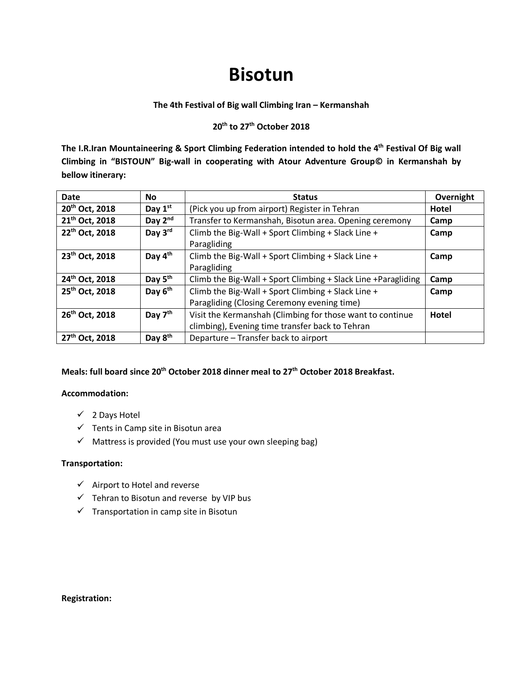# **Bisotun**

## **The 4th Festival of Big wall Climbing Iran – Kermanshah**

# **20th to 27th October 2018**

**The I.R.Iran Mountaineering & Sport Climbing Federation intended to hold the 4th Festival Of Big wall Climbing in "BISTOUN" Big-wall in cooperating with Atour Adventure Group© in Kermanshah by bellow itinerary:**

| <b>Date</b>                | <b>No</b>           | <b>Status</b>                                                  | Overnight    |
|----------------------------|---------------------|----------------------------------------------------------------|--------------|
| 20 <sup>th</sup> Oct, 2018 | Day $1st$           | (Pick you up from airport) Register in Tehran                  | Hotel        |
| 21 <sup>th</sup> Oct, 2018 | Day $2^{nd}$        | Transfer to Kermanshah, Bisotun area. Opening ceremony         | Camp         |
| 22 <sup>th</sup> Oct, 2018 | Day 3rd             | Climb the Big-Wall + Sport Climbing + Slack Line +             | Camp         |
|                            |                     | Paragliding                                                    |              |
| 23 <sup>th</sup> Oct, 2018 | Day 4 <sup>th</sup> | Climb the Big-Wall + Sport Climbing + Slack Line +             | Camp         |
|                            |                     | Paragliding                                                    |              |
| 24th Oct, 2018             | Day 5 <sup>th</sup> | Climb the Big-Wall + Sport Climbing + Slack Line + Paragliding | Camp         |
| 25th Oct, 2018             | Day 6 <sup>th</sup> | Climb the Big-Wall + Sport Climbing + Slack Line +             | Camp         |
|                            |                     | Paragliding (Closing Ceremony evening time)                    |              |
| 26 <sup>th</sup> Oct, 2018 | Day $7th$           | Visit the Kermanshah (Climbing for those want to continue      | <b>Hotel</b> |
|                            |                     | climbing), Evening time transfer back to Tehran                |              |
| 27 <sup>th</sup> Oct, 2018 | Day 8 <sup>th</sup> | Departure - Transfer back to airport                           |              |

# **Meals: full board since 20th October 2018 dinner meal to 27th October 2018 Breakfast.**

# **Accommodation:**

- $\checkmark$  2 Days Hotel
- $\checkmark$  Tents in Camp site in Bisotun area
- $\checkmark$  Mattress is provided (You must use your own sleeping bag)

# **Transportation:**

- $\checkmark$  Airport to Hotel and reverse
- $\checkmark$  Tehran to Bisotun and reverse by VIP bus
- $\checkmark$  Transportation in camp site in Bisotun

#### **Registration:**